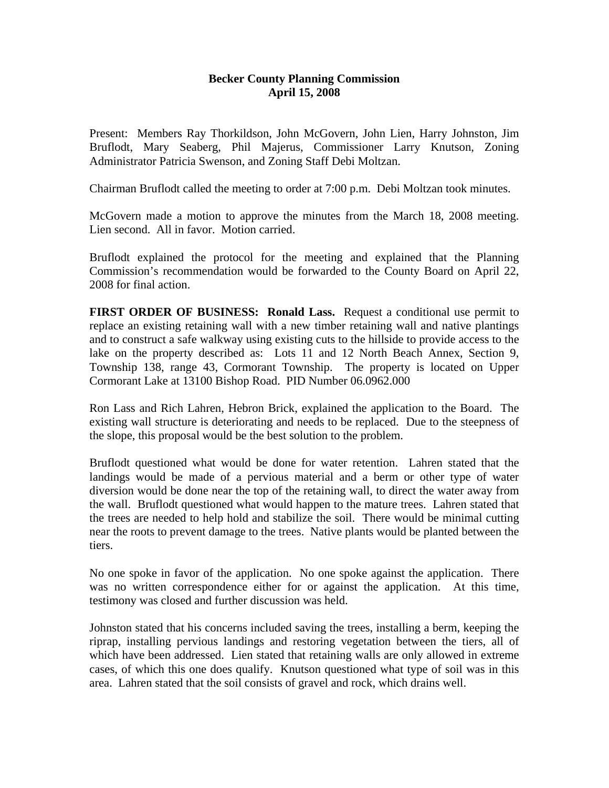## **Becker County Planning Commission April 15, 2008**

Present: Members Ray Thorkildson, John McGovern, John Lien, Harry Johnston, Jim Bruflodt, Mary Seaberg, Phil Majerus, Commissioner Larry Knutson, Zoning Administrator Patricia Swenson, and Zoning Staff Debi Moltzan.

Chairman Bruflodt called the meeting to order at 7:00 p.m. Debi Moltzan took minutes.

McGovern made a motion to approve the minutes from the March 18, 2008 meeting. Lien second. All in favor. Motion carried.

Bruflodt explained the protocol for the meeting and explained that the Planning Commission's recommendation would be forwarded to the County Board on April 22, 2008 for final action.

**FIRST ORDER OF BUSINESS: Ronald Lass.** Request a conditional use permit to replace an existing retaining wall with a new timber retaining wall and native plantings and to construct a safe walkway using existing cuts to the hillside to provide access to the lake on the property described as: Lots 11 and 12 North Beach Annex, Section 9, Township 138, range 43, Cormorant Township. The property is located on Upper Cormorant Lake at 13100 Bishop Road. PID Number 06.0962.000

Ron Lass and Rich Lahren, Hebron Brick, explained the application to the Board. The existing wall structure is deteriorating and needs to be replaced. Due to the steepness of the slope, this proposal would be the best solution to the problem.

Bruflodt questioned what would be done for water retention. Lahren stated that the landings would be made of a pervious material and a berm or other type of water diversion would be done near the top of the retaining wall, to direct the water away from the wall. Bruflodt questioned what would happen to the mature trees. Lahren stated that the trees are needed to help hold and stabilize the soil. There would be minimal cutting near the roots to prevent damage to the trees. Native plants would be planted between the tiers.

No one spoke in favor of the application. No one spoke against the application. There was no written correspondence either for or against the application. At this time, testimony was closed and further discussion was held.

Johnston stated that his concerns included saving the trees, installing a berm, keeping the riprap, installing pervious landings and restoring vegetation between the tiers, all of which have been addressed. Lien stated that retaining walls are only allowed in extreme cases, of which this one does qualify. Knutson questioned what type of soil was in this area. Lahren stated that the soil consists of gravel and rock, which drains well.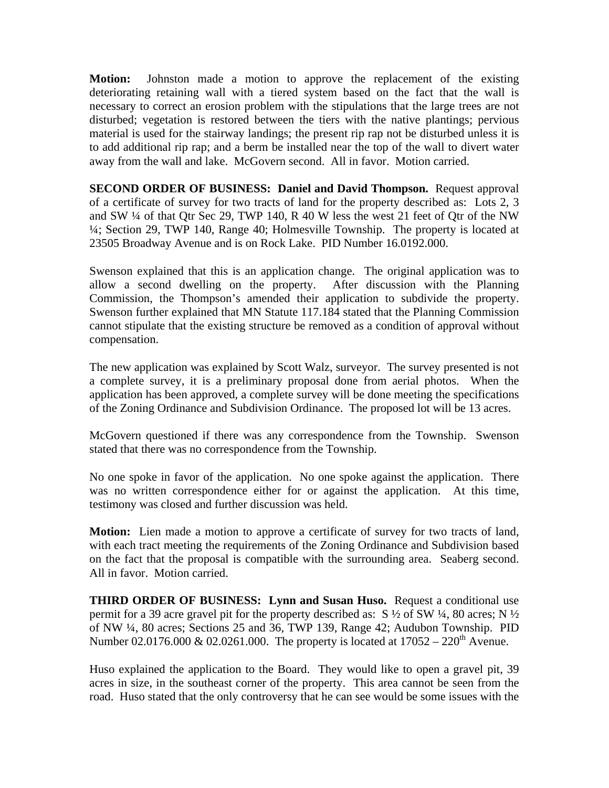**Motion:** Johnston made a motion to approve the replacement of the existing deteriorating retaining wall with a tiered system based on the fact that the wall is necessary to correct an erosion problem with the stipulations that the large trees are not disturbed; vegetation is restored between the tiers with the native plantings; pervious material is used for the stairway landings; the present rip rap not be disturbed unless it is to add additional rip rap; and a berm be installed near the top of the wall to divert water away from the wall and lake. McGovern second. All in favor. Motion carried.

**SECOND ORDER OF BUSINESS: Daniel and David Thompson.** Request approval of a certificate of survey for two tracts of land for the property described as: Lots 2, 3 and SW ¼ of that Qtr Sec 29, TWP 140, R 40 W less the west 21 feet of Qtr of the NW ¼; Section 29, TWP 140, Range 40; Holmesville Township. The property is located at 23505 Broadway Avenue and is on Rock Lake. PID Number 16.0192.000.

Swenson explained that this is an application change. The original application was to allow a second dwelling on the property. After discussion with the Planning Commission, the Thompson's amended their application to subdivide the property. Swenson further explained that MN Statute 117.184 stated that the Planning Commission cannot stipulate that the existing structure be removed as a condition of approval without compensation.

The new application was explained by Scott Walz, surveyor. The survey presented is not a complete survey, it is a preliminary proposal done from aerial photos. When the application has been approved, a complete survey will be done meeting the specifications of the Zoning Ordinance and Subdivision Ordinance. The proposed lot will be 13 acres.

McGovern questioned if there was any correspondence from the Township. Swenson stated that there was no correspondence from the Township.

No one spoke in favor of the application. No one spoke against the application. There was no written correspondence either for or against the application. At this time, testimony was closed and further discussion was held.

**Motion:** Lien made a motion to approve a certificate of survey for two tracts of land, with each tract meeting the requirements of the Zoning Ordinance and Subdivision based on the fact that the proposal is compatible with the surrounding area. Seaberg second. All in favor. Motion carried.

**THIRD ORDER OF BUSINESS: Lynn and Susan Huso.** Request a conditional use permit for a 39 acre gravel pit for the property described as:  $S \frac{1}{2}$  of SW  $\frac{1}{4}$ , 80 acres; N  $\frac{1}{2}$ of NW ¼, 80 acres; Sections 25 and 36, TWP 139, Range 42; Audubon Township. PID Number 02.0176.000 & 02.0261.000. The property is located at  $17052 - 220$ <sup>th</sup> Avenue.

Huso explained the application to the Board. They would like to open a gravel pit, 39 acres in size, in the southeast corner of the property. This area cannot be seen from the road. Huso stated that the only controversy that he can see would be some issues with the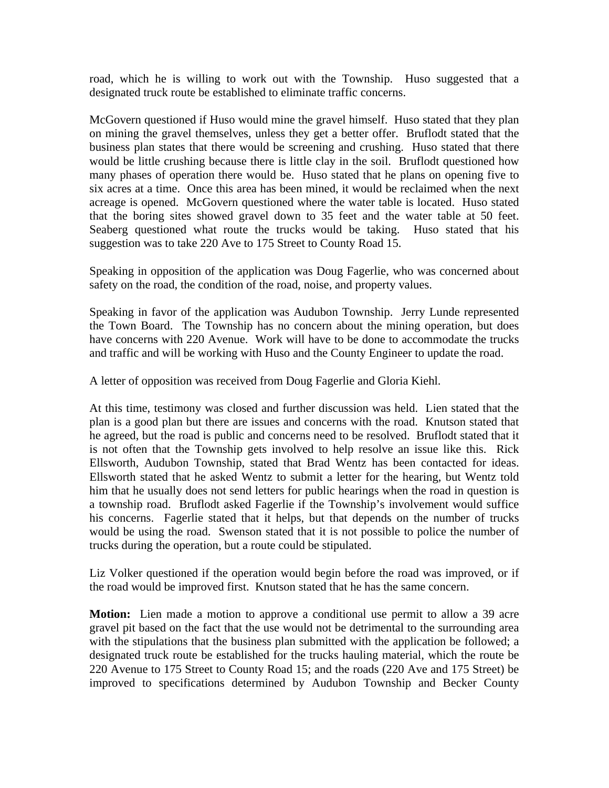road, which he is willing to work out with the Township. Huso suggested that a designated truck route be established to eliminate traffic concerns.

McGovern questioned if Huso would mine the gravel himself. Huso stated that they plan on mining the gravel themselves, unless they get a better offer. Bruflodt stated that the business plan states that there would be screening and crushing. Huso stated that there would be little crushing because there is little clay in the soil. Bruflodt questioned how many phases of operation there would be. Huso stated that he plans on opening five to six acres at a time. Once this area has been mined, it would be reclaimed when the next acreage is opened. McGovern questioned where the water table is located. Huso stated that the boring sites showed gravel down to 35 feet and the water table at 50 feet. Seaberg questioned what route the trucks would be taking. Huso stated that his suggestion was to take 220 Ave to 175 Street to County Road 15.

Speaking in opposition of the application was Doug Fagerlie, who was concerned about safety on the road, the condition of the road, noise, and property values.

Speaking in favor of the application was Audubon Township. Jerry Lunde represented the Town Board. The Township has no concern about the mining operation, but does have concerns with 220 Avenue. Work will have to be done to accommodate the trucks and traffic and will be working with Huso and the County Engineer to update the road.

A letter of opposition was received from Doug Fagerlie and Gloria Kiehl.

At this time, testimony was closed and further discussion was held. Lien stated that the plan is a good plan but there are issues and concerns with the road. Knutson stated that he agreed, but the road is public and concerns need to be resolved. Bruflodt stated that it is not often that the Township gets involved to help resolve an issue like this. Rick Ellsworth, Audubon Township, stated that Brad Wentz has been contacted for ideas. Ellsworth stated that he asked Wentz to submit a letter for the hearing, but Wentz told him that he usually does not send letters for public hearings when the road in question is a township road. Bruflodt asked Fagerlie if the Township's involvement would suffice his concerns. Fagerlie stated that it helps, but that depends on the number of trucks would be using the road. Swenson stated that it is not possible to police the number of trucks during the operation, but a route could be stipulated.

Liz Volker questioned if the operation would begin before the road was improved, or if the road would be improved first. Knutson stated that he has the same concern.

**Motion:** Lien made a motion to approve a conditional use permit to allow a 39 acre gravel pit based on the fact that the use would not be detrimental to the surrounding area with the stipulations that the business plan submitted with the application be followed; a designated truck route be established for the trucks hauling material, which the route be 220 Avenue to 175 Street to County Road 15; and the roads (220 Ave and 175 Street) be improved to specifications determined by Audubon Township and Becker County